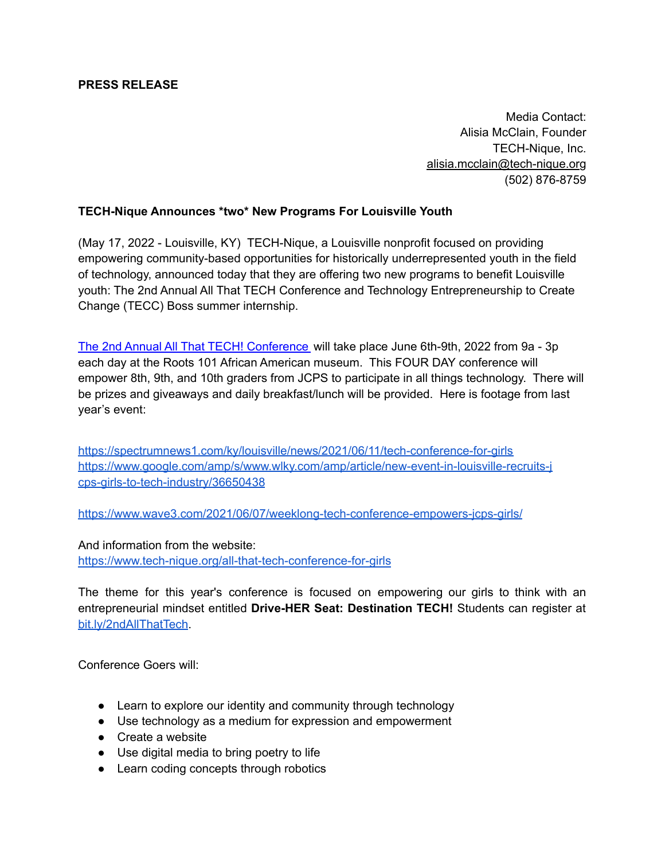## **PRESS RELEASE**

Media Contact: Alisia McClain, Founder TECH-Nique, Inc. [alisia.mcclain@tech-nique.org](mailto:alisia@futurelou.com) (502) 876-8759

## **TECH-Nique Announces \*two\* New Programs For Louisville Youth**

(May 17, 2022 - Louisville, KY) TECH-Nique, a Louisville nonprofit focused on providing empowering community-based opportunities for historically underrepresented youth in the field of technology, announced today that they are offering two new programs to benefit Louisville youth: The 2nd Annual All That TECH Conference and Technology Entrepreneurship to Create Change (TECC) Boss summer internship.

The 2nd Annual All That TECH! [Conference](https://www.tech-nique.org/all-that-tech-conference-for-girls) will take place June 6th-9th, 2022 from 9a - 3p each day at the Roots 101 African American museum. This FOUR DAY conference will empower 8th, 9th, and 10th graders from JCPS to participate in all things technology. There will be prizes and giveaways and daily breakfast/lunch will be provided. Here is footage from last year's event:

<https://spectrumnews1.com/ky/louisville/news/2021/06/11/tech-conference-for-girls> [https://www.google.com/amp/s/www.wlky.com/amp/article/new-event-in-louisville-recruits-j](https://www.google.com/amp/s/www.wlky.com/amp/article/new-event-in-louisville-recruits-jcps-girls-to-tech-industry/36650438) [cps-girls-to-tech-industry/36650438](https://www.google.com/amp/s/www.wlky.com/amp/article/new-event-in-louisville-recruits-jcps-girls-to-tech-industry/36650438)

<https://www.wave3.com/2021/06/07/weeklong-tech-conference-empowers-jcps-girls/>

And information from the website:

<https://www.tech-nique.org/all-that-tech-conference-for-girls>

The theme for this year's conference is focused on empowering our girls to think with an entrepreneurial mindset entitled **Drive-HER Seat: Destination TECH!** Students can register at [bit.ly/2ndAllThatTech](http://bit.ly/2ndAllThatTech).

Conference Goers will:

- Learn to explore our identity and community through technology
- Use technology as a medium for expression and empowerment
- Create a website
- Use digital media to bring poetry to life
- Learn coding concepts through robotics